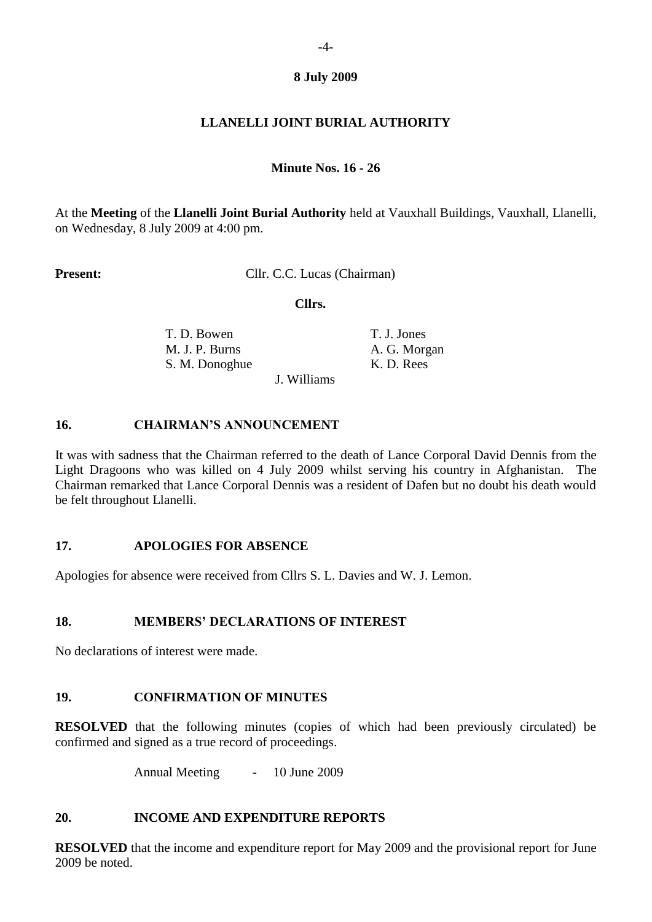# **8 July 2009**

# **LLANELLI JOINT BURIAL AUTHORITY**

### **Minute Nos. 16 - 26**

At the **Meeting** of the **Llanelli Joint Burial Authority** held at Vauxhall Buildings, Vauxhall, Llanelli, on Wednesday, 8 July 2009 at 4:00 pm.

**Present:** Cllr. C.C. Lucas (Chairman)

 **Cllrs.**

T. D. Bowen T. J. Jones M. J. P. Burns A. G. Morgan S. M. Donoghue K. D. Rees

J. Williams

# **16. CHAIRMAN'S ANNOUNCEMENT**

It was with sadness that the Chairman referred to the death of Lance Corporal David Dennis from the Light Dragoons who was killed on 4 July 2009 whilst serving his country in Afghanistan. The Chairman remarked that Lance Corporal Dennis was a resident of Dafen but no doubt his death would be felt throughout Llanelli.

#### **17. APOLOGIES FOR ABSENCE**

Apologies for absence were received from Cllrs S. L. Davies and W. J. Lemon.

# **18. MEMBERS' DECLARATIONS OF INTEREST**

No declarations of interest were made.

# **19. CONFIRMATION OF MINUTES**

**RESOLVED** that the following minutes (copies of which had been previously circulated) be confirmed and signed as a true record of proceedings.

Annual Meeting - 10 June 2009

# **20. INCOME AND EXPENDITURE REPORTS**

**RESOLVED** that the income and expenditure report for May 2009 and the provisional report for June 2009 be noted.